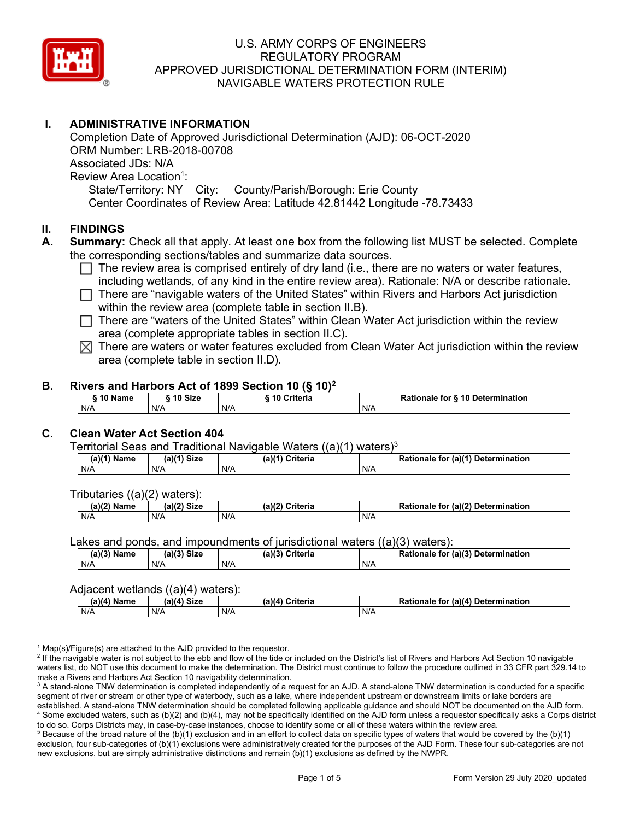

# **I. ADMINISTRATIVE INFORMATION**

Completion Date of Approved Jurisdictional Determination (AJD): 06-OCT-2020 ORM Number: LRB-2018-00708 Associated JDs: N/A Review Area Location<sup>1</sup>: State/Territory: NY City: County/Parish/Borough: Erie County Center Coordinates of Review Area: Latitude 42.81442 Longitude -78.73433

### **II. FINDINGS**

- **A. Summary:** Check all that apply. At least one box from the following list MUST be selected. Complete the corresponding sections/tables and summarize data sources.
	- $\Box$  The review area is comprised entirely of dry land (i.e., there are no waters or water features, including wetlands, of any kind in the entire review area). Rationale: N/A or describe rationale.
	- There are "navigable waters of the United States" within Rivers and Harbors Act jurisdiction within the review area (complete table in section II.B).
	- $\Box$  There are "waters of the United States" within Clean Water Act jurisdiction within the review area (complete appropriate tables in section II.C).
	- $\boxtimes$  There are waters or water features excluded from Clean Water Act jurisdiction within the review area (complete table in section II.D).

#### **B. Rivers and Harbors Act of 1899 Section 10 (§ 10)2**

| 10 Size<br>$\degree$ 10 Name |  |     | 10 Criteria | Rationale for § 10 Determination |  |  |  |  |  |  |
|------------------------------|--|-----|-------------|----------------------------------|--|--|--|--|--|--|
| N/A                          |  | N/A | N/A         | N/A                              |  |  |  |  |  |  |

# **C. Clean Water Act Section 404**

Territorial Seas and Traditional Navigable Waters  $((a)(1)$  waters)<sup>3</sup>

| <b>Size</b><br>01/41<br>Name<br>a) |     | $(a)$ $(4)$<br>Criteria | $ur$ (a) $(4)$<br><b>Determination</b><br>Rationale<br>tor |
|------------------------------------|-----|-------------------------|------------------------------------------------------------|
| N/A                                | N/A | N/A                     | N/A                                                        |

Tributaries ((a)(2) waters):

| $(a)$ ( $\degree$<br>$\sim$ $\sim$<br>C <sub>1</sub><br>Name<br>JIZE<br>,,, |     | (a)(2)<br>Criteria | (a)(2) Determination<br>Dational<br>tor<br>nale<br>тіг |  |  |
|-----------------------------------------------------------------------------|-----|--------------------|--------------------------------------------------------|--|--|
| N/A                                                                         | N/A | N/A                | N/A                                                    |  |  |

Lakes and ponds, and impoundments of jurisdictional waters  $((a)(3)$  waters):

| $(a)(3)$ $^{\prime\prime}$<br>Name | $(a)(3)$ Size | (a)(3)<br>Criteria | for (a)(3) Determination<br><b>Rationale</b> |  |  |
|------------------------------------|---------------|--------------------|----------------------------------------------|--|--|
| N/A                                | N/A           | N/A                | N/A                                          |  |  |

#### Adjacent wetlands  $((a)(4)$  waters):

| . |                              |     |                           |                                    |  |  |  |  |  |
|---|------------------------------|-----|---------------------------|------------------------------------|--|--|--|--|--|
|   | (a)(4) Size<br>$(a)(4)$ Name |     | (a)(4)<br><b>Criteria</b> | Rationale for (a)(4) Determination |  |  |  |  |  |
|   | N/A                          | N/A | N/A                       | N/A                                |  |  |  |  |  |

 $1$  Map(s)/Figure(s) are attached to the AJD provided to the requestor.

<sup>2</sup> If the navigable water is not subject to the ebb and flow of the tide or included on the District's list of Rivers and Harbors Act Section 10 navigable waters list, do NOT use this document to make the determination. The District must continue to follow the procedure outlined in 33 CFR part 329.14 to make a Rivers and Harbors Act Section 10 navigability determination.

<sup>3</sup> A stand-alone TNW determination is completed independently of a request for an AJD. A stand-alone TNW determination is conducted for a specific segment of river or stream or other type of waterbody, such as a lake, where independent upstream or downstream limits or lake borders are established. A stand-alone TNW determination should be completed following applicable guidance and should NOT be documented on the AJD form. <sup>4</sup> Some excluded waters, such as (b)(2) and (b)(4), may not be specifically identified on the AJD form unless a requestor specifically asks a Corps district to do so. Corps Districts may, in case-by-case instances, choose to identify some or all of these waters within the review area.

 $5$  Because of the broad nature of the (b)(1) exclusion and in an effort to collect data on specific types of waters that would be covered by the (b)(1) exclusion, four sub-categories of (b)(1) exclusions were administratively created for the purposes of the AJD Form. These four sub-categories are not new exclusions, but are simply administrative distinctions and remain (b)(1) exclusions as defined by the NWPR.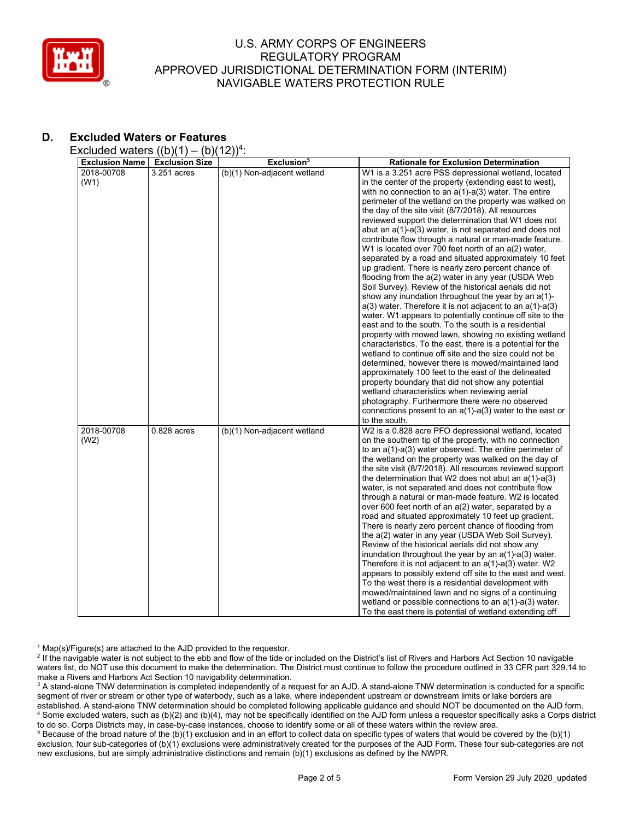

# **D. Excluded Waters or Features**

Excluded waters  $((b)(1) - (b)(12))^4$ :

| <b>Exclusion Name</b> | <b>Exclusion Size</b> | Exclusion <sup>5</sup>      | <b>Rationale for Exclusion Determination</b>                                                                             |
|-----------------------|-----------------------|-----------------------------|--------------------------------------------------------------------------------------------------------------------------|
| 2018-00708            | $3.251$ acres         | (b)(1) Non-adjacent wetland | W1 is a 3.251 acre PSS depressional wetland, located                                                                     |
| (W1)                  |                       |                             | in the center of the property (extending east to west).                                                                  |
|                       |                       |                             | with no connection to an $a(1)$ - $a(3)$ water. The entire                                                               |
|                       |                       |                             | perimeter of the wetland on the property was walked on                                                                   |
|                       |                       |                             | the day of the site visit (8/7/2018). All resources                                                                      |
|                       |                       |                             | reviewed support the determination that W1 does not                                                                      |
|                       |                       |                             | abut an a(1)-a(3) water, is not separated and does not                                                                   |
|                       |                       |                             | contribute flow through a natural or man-made feature.                                                                   |
|                       |                       |                             | W1 is located over 700 feet north of an a(2) water,                                                                      |
|                       |                       |                             | separated by a road and situated approximately 10 feet                                                                   |
|                       |                       |                             | up gradient. There is nearly zero percent chance of                                                                      |
|                       |                       |                             | flooding from the a(2) water in any year (USDA Web                                                                       |
|                       |                       |                             | Soil Survey). Review of the historical aerials did not                                                                   |
|                       |                       |                             | show any inundation throughout the year by an a(1)-                                                                      |
|                       |                       |                             | $a(3)$ water. Therefore it is not adjacent to an $a(1)$ - $a(3)$                                                         |
|                       |                       |                             | water. W1 appears to potentially continue off site to the                                                                |
|                       |                       |                             | east and to the south. To the south is a residential                                                                     |
|                       |                       |                             | property with mowed lawn, showing no existing wetland                                                                    |
|                       |                       |                             | characteristics. To the east, there is a potential for the                                                               |
|                       |                       |                             | wetland to continue off site and the size could not be                                                                   |
|                       |                       |                             | determined, however there is mowed/maintained land                                                                       |
|                       |                       |                             | approximately 100 feet to the east of the delineated                                                                     |
|                       |                       |                             | property boundary that did not show any potential                                                                        |
|                       |                       |                             | wetland characteristics when reviewing aerial                                                                            |
|                       |                       |                             | photography. Furthermore there were no observed                                                                          |
|                       |                       |                             | connections present to an $a(1)$ - $a(3)$ water to the east or                                                           |
|                       |                       |                             | to the south.                                                                                                            |
| 2018-00708            | $0.828$ acres         | (b)(1) Non-adjacent wetland | W2 is a 0.828 acre PFO depressional wetland, located                                                                     |
| (W2)                  |                       |                             | on the southern tip of the property, with no connection<br>to an $a(1)$ - $a(3)$ water observed. The entire perimeter of |
|                       |                       |                             | the wetland on the property was walked on the day of                                                                     |
|                       |                       |                             | the site visit (8/7/2018). All resources reviewed support                                                                |
|                       |                       |                             | the determination that W2 does not abut an $a(1)-a(3)$                                                                   |
|                       |                       |                             | water, is not separated and does not contribute flow                                                                     |
|                       |                       |                             | through a natural or man-made feature. W2 is located                                                                     |
|                       |                       |                             | over 600 feet north of an a(2) water, separated by a                                                                     |
|                       |                       |                             | road and situated approximately 10 feet up gradient.                                                                     |
|                       |                       |                             | There is nearly zero percent chance of flooding from                                                                     |
|                       |                       |                             | the a(2) water in any year (USDA Web Soil Survey).                                                                       |
|                       |                       |                             | Review of the historical aerials did not show any                                                                        |
|                       |                       |                             | inundation throughout the year by an $a(1)$ - $a(3)$ water.                                                              |
|                       |                       |                             | Therefore it is not adjacent to an a(1)-a(3) water. W2                                                                   |
|                       |                       |                             | appears to possibly extend off site to the east and west.                                                                |
|                       |                       |                             | To the west there is a residential development with                                                                      |
|                       |                       |                             | mowed/maintained lawn and no signs of a continuing                                                                       |
|                       |                       |                             | wetland or possible connections to an $a(1)$ - $a(3)$ water.                                                             |
|                       |                       |                             | To the east there is potential of wetland extending off                                                                  |

 $1$  Map(s)/Figure(s) are attached to the AJD provided to the requestor.

<sup>2</sup> If the navigable water is not subject to the ebb and flow of the tide or included on the District's list of Rivers and Harbors Act Section 10 navigable waters list, do NOT use this document to make the determination. The District must continue to follow the procedure outlined in 33 CFR part 329.14 to make a Rivers and Harbors Act Section 10 navigability determination.

<sup>3</sup> A stand-alone TNW determination is completed independently of a request for an AJD. A stand-alone TNW determination is conducted for a specific segment of river or stream or other type of waterbody, such as a lake, where independent upstream or downstream limits or lake borders are established. A stand-alone TNW determination should be completed following applicable guidance and should NOT be documented on the AJD form. <sup>4</sup> Some excluded waters, such as (b)(2) and (b)(4), may not be specifically identified on the AJD form unless a requestor specifically asks a Corps district to do so. Corps Districts may, in case-by-case instances, choose to identify some or all of these waters within the review area.

<sup>5</sup> Because of the broad nature of the (b)(1) exclusion and in an effort to collect data on specific types of waters that would be covered by the (b)(1) exclusion, four sub-categories of (b)(1) exclusions were administratively created for the purposes of the AJD Form. These four sub-categories are not new exclusions, but are simply administrative distinctions and remain (b)(1) exclusions as defined by the NWPR.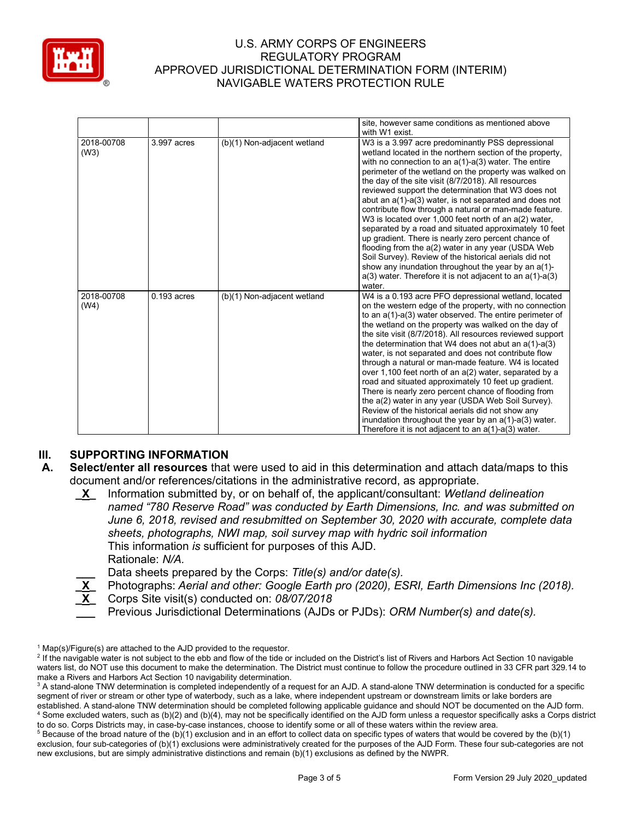

|                    |               |                             | site, however same conditions as mentioned above<br>with W1 exist.                                                                                                                                                                                                                                                                                                                                                                                                                                                                                                                                                                                                                                                                                                                                                                                                                                     |
|--------------------|---------------|-----------------------------|--------------------------------------------------------------------------------------------------------------------------------------------------------------------------------------------------------------------------------------------------------------------------------------------------------------------------------------------------------------------------------------------------------------------------------------------------------------------------------------------------------------------------------------------------------------------------------------------------------------------------------------------------------------------------------------------------------------------------------------------------------------------------------------------------------------------------------------------------------------------------------------------------------|
| 2018-00708<br>(W3) | 3.997 acres   | (b)(1) Non-adjacent wetland | W3 is a 3.997 acre predominantly PSS depressional<br>wetland located in the northern section of the property,<br>with no connection to an $a(1)$ - $a(3)$ water. The entire<br>perimeter of the wetland on the property was walked on<br>the day of the site visit (8/7/2018). All resources<br>reviewed support the determination that W3 does not<br>abut an a(1)-a(3) water, is not separated and does not<br>contribute flow through a natural or man-made feature.<br>W3 is located over 1,000 feet north of an a(2) water,<br>separated by a road and situated approximately 10 feet<br>up gradient. There is nearly zero percent chance of<br>flooding from the a(2) water in any year (USDA Web<br>Soil Survey). Review of the historical aerials did not<br>show any inundation throughout the year by an a(1)-<br>$a(3)$ water. Therefore it is not adjacent to an $a(1)$ - $a(3)$<br>water. |
| 2018-00708<br>(W4) | $0.193$ acres | (b)(1) Non-adjacent wetland | W4 is a 0.193 acre PFO depressional wetland, located<br>on the western edge of the property, with no connection<br>to an $a(1)$ - $a(3)$ water observed. The entire perimeter of<br>the wetland on the property was walked on the day of<br>the site visit (8/7/2018). All resources reviewed support<br>the determination that W4 does not abut an $a(1)$ - $a(3)$<br>water, is not separated and does not contribute flow<br>through a natural or man-made feature. W4 is located<br>over 1,100 feet north of an a(2) water, separated by a<br>road and situated approximately 10 feet up gradient.<br>There is nearly zero percent chance of flooding from<br>the a(2) water in any year (USDA Web Soil Survey).<br>Review of the historical aerials did not show any<br>inundation throughout the year by an $a(1)$ - $a(3)$ water.<br>Therefore it is not adjacent to an $a(1)$ - $a(3)$ water.   |

# **III. SUPPORTING INFORMATION**

- **A. Select/enter all resources** that were used to aid in this determination and attach data/maps to this document and/or references/citations in the administrative record, as appropriate.
	- **\_X\_** Information submitted by, or on behalf of, the applicant/consultant: *Wetland delineation named "780 Reserve Road" was conducted by Earth Dimensions, Inc. and was submitted on June 6, 2018, revised and resubmitted on September 30, 2020 with accurate, complete data sheets, photographs, NWI map, soil survey map with hydric soil information* This information *is* sufficient for purposes of this AJD. Rationale: *N/A.*

**\_\_\_** Data sheets prepared by the Corps: *Title(s) and/or date(s).*

- **\_X\_** Photographs: *Aerial and other: Google Earth pro (2020), ESRI, Earth Dimensions Inc (2018).*
- **\_X\_** Corps Site visit(s) conducted on: *08/07/2018*
- **\_\_\_** Previous Jurisdictional Determinations (AJDs or PJDs): *ORM Number(s) and date(s).*

 $1$  Map(s)/Figure(s) are attached to the AJD provided to the requestor.

<sup>&</sup>lt;sup>2</sup> If the navigable water is not subject to the ebb and flow of the tide or included on the District's list of Rivers and Harbors Act Section 10 navigable waters list, do NOT use this document to make the determination. The District must continue to follow the procedure outlined in 33 CFR part 329.14 to make a Rivers and Harbors Act Section 10 navigability determination.

<sup>&</sup>lt;sup>3</sup> A stand-alone TNW determination is completed independently of a request for an AJD. A stand-alone TNW determination is conducted for a specific segment of river or stream or other type of waterbody, such as a lake, where independent upstream or downstream limits or lake borders are established. A stand-alone TNW determination should be completed following applicable guidance and should NOT be documented on the AJD form. <sup>4</sup> Some excluded waters, such as (b)(2) and (b)(4), may not be specifically identified on the AJD form unless a requestor specifically asks a Corps district to do so. Corps Districts may, in case-by-case instances, choose to identify some or all of these waters within the review area.

 $5$  Because of the broad nature of the (b)(1) exclusion and in an effort to collect data on specific types of waters that would be covered by the (b)(1) exclusion, four sub-categories of (b)(1) exclusions were administratively created for the purposes of the AJD Form. These four sub-categories are not new exclusions, but are simply administrative distinctions and remain (b)(1) exclusions as defined by the NWPR.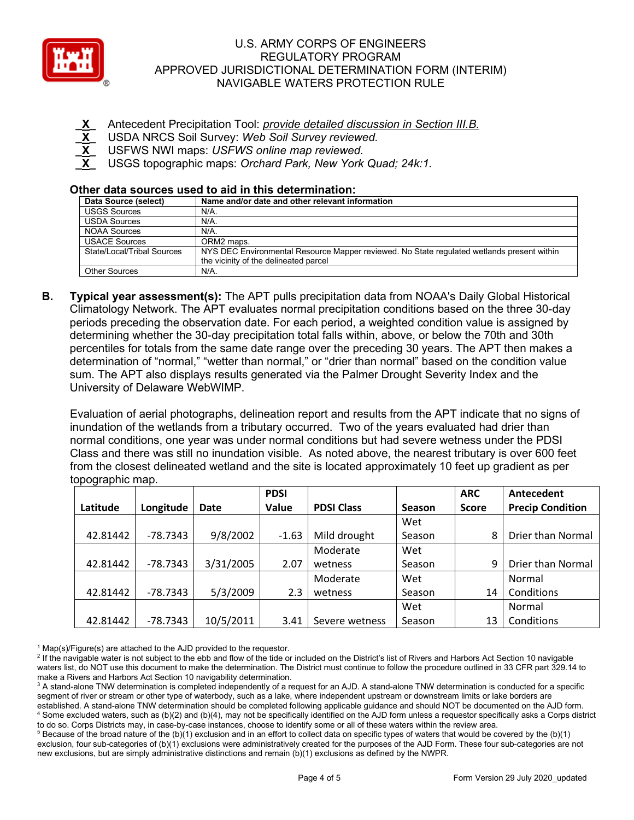

- **\_X\_** Antecedent Precipitation Tool: *provide detailed discussion in Section III.B.*
- **\_X\_** USDA NRCS Soil Survey: *Web Soil Survey reviewed.*
- USFWS NWI maps: *USFWS online map reviewed.*
- **\_X\_** USGS topographic maps: *Orchard Park, New York Quad; 24k:1.*

### **Other data sources used to aid in this determination:**

| Data Source (select)       | Name and/or date and other relevant information                                            |
|----------------------------|--------------------------------------------------------------------------------------------|
| <b>USGS Sources</b>        | N/A.                                                                                       |
| <b>USDA Sources</b>        | N/A.                                                                                       |
| <b>NOAA Sources</b>        | $N/A$ .                                                                                    |
| <b>USACE Sources</b>       | ORM2 maps.                                                                                 |
| State/Local/Tribal Sources | NYS DEC Environmental Resource Mapper reviewed. No State regulated wetlands present within |
|                            | the vicinity of the delineated parcel                                                      |
| <b>Other Sources</b>       | N/A.                                                                                       |

**B. Typical year assessment(s):** The APT pulls precipitation data from NOAA's Daily Global Historical Climatology Network. The APT evaluates normal precipitation conditions based on the three 30-day periods preceding the observation date. For each period, a weighted condition value is assigned by determining whether the 30-day precipitation total falls within, above, or below the 70th and 30th percentiles for totals from the same date range over the preceding 30 years. The APT then makes a determination of "normal," "wetter than normal," or "drier than normal" based on the condition value sum. The APT also displays results generated via the Palmer Drought Severity Index and the University of Delaware WebWIMP.

Evaluation of aerial photographs, delineation report and results from the APT indicate that no signs of inundation of the wetlands from a tributary occurred. Two of the years evaluated had drier than normal conditions, one year was under normal conditions but had severe wetness under the PDSI Class and there was still no inundation visible. As noted above, the nearest tributary is over 600 feet from the closest delineated wetland and the site is located approximately 10 feet up gradient as per topographic map.

|          |            |           | <b>PDSI</b> |                   |        | <b>ARC</b>   | Antecedent               |
|----------|------------|-----------|-------------|-------------------|--------|--------------|--------------------------|
| Latitude | Longitude  | Date      | Value       | <b>PDSI Class</b> | Season | <b>Score</b> | <b>Precip Condition</b>  |
|          |            |           |             |                   | Wet    |              |                          |
| 42.81442 | $-78.7343$ | 9/8/2002  | $-1.63$     | Mild drought      | Season | 8            | Drier than Normal        |
|          |            |           |             | Moderate          | Wet    |              |                          |
| 42.81442 | $-78.7343$ | 3/31/2005 | 2.07        | wetness           | Season | 9            | <b>Drier than Normal</b> |
|          |            |           |             | Moderate          | Wet    |              | Normal                   |
| 42.81442 | -78.7343   | 5/3/2009  | 2.3         | wetness           | Season | 14           | Conditions               |
|          |            |           |             |                   | Wet    |              | Normal                   |
| 42.81442 | $-78.7343$ | 10/5/2011 | 3.41        | Severe wetness    | Season | 13           | Conditions               |

 $1$  Map(s)/Figure(s) are attached to the AJD provided to the requestor.

<sup>2</sup> If the navigable water is not subject to the ebb and flow of the tide or included on the District's list of Rivers and Harbors Act Section 10 navigable waters list, do NOT use this document to make the determination. The District must continue to follow the procedure outlined in 33 CFR part 329.14 to make a Rivers and Harbors Act Section 10 navigability determination.

<sup>3</sup> A stand-alone TNW determination is completed independently of a request for an AJD. A stand-alone TNW determination is conducted for a specific segment of river or stream or other type of waterbody, such as a lake, where independent upstream or downstream limits or lake borders are established. A stand-alone TNW determination should be completed following applicable guidance and should NOT be documented on the AJD form. <sup>4</sup> Some excluded waters, such as (b)(2) and (b)(4), may not be specifically identified on the AJD form unless a requestor specifically asks a Corps district to do so. Corps Districts may, in case-by-case instances, choose to identify some or all of these waters within the review area.

 $5$  Because of the broad nature of the (b)(1) exclusion and in an effort to collect data on specific types of waters that would be covered by the (b)(1) exclusion, four sub-categories of (b)(1) exclusions were administratively created for the purposes of the AJD Form. These four sub-categories are not new exclusions, but are simply administrative distinctions and remain (b)(1) exclusions as defined by the NWPR.